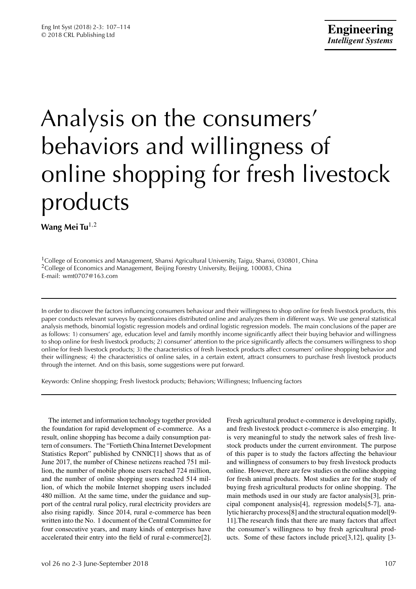# Analysis on the consumers' behaviors and willingness of online shopping for fresh livestock products

**Wang Mei Tu**1*,*<sup>2</sup>

<sup>1</sup>College of Economics and Management, Shanxi Agricultural University, Taigu, Shanxi, 030801, China <sup>2</sup>College of Economics and Management, Beijing Forestry University, Beijing, 100083, China E-mail: wmt0707@163.com

In order to discover the factors influencing consumers behaviour and their willingness to shop online for fresh livestock products, this paper conducts relevant surveys by questionnaires distributed online and analyzes them in different ways. We use general statistical analysis methods, binomial logistic regression models and ordinal logistic regression models. The main conclusions of the paper are as follows: 1) consumers' age, education level and family monthly income significantly affect their buying behavior and willingness to shop online for fresh livestock products; 2) consumer' attention to the price significantly affects the consumers willingness to shop online for fresh livestock products; 3) the characteristics of fresh livestock products affect consumers' online shopping behavior and their willingness; 4) the characteristics of online sales, in a certain extent, attract consumers to purchase fresh livestock products through the internet. And on this basis, some suggestions were put forward.

Keywords: Online shopping; Fresh livestock products; Behaviors; Willingness; Influencing factors

The internet and information technology together provided the foundation for rapid development of e-commerce. As a result, online shopping has become a daily consumption pattern of consumers. The "Fortieth China Internet Development Statistics Report" published by CNNIC[1] shows that as of June 2017, the number of Chinese netizens reached 751 million, the number of mobile phone users reached 724 million, and the number of online shopping users reached 514 million, of which the mobile Internet shopping users included 480 million. At the same time, under the guidance and support of the central rural policy, rural electricity providers are also rising rapidly. Since 2014, rural e-commerce has been written into the No. 1 document of the Central Committee for four consecutive years, and many kinds of enterprises have accelerated their entry into the field of rural e-commerce[2].

Fresh agricultural product e-commerce is developing rapidly, and fresh livestock product e-commerce is also emerging. It is very meaningful to study the network sales of fresh livestock products under the current environment. The purpose of this paper is to study the factors affecting the behaviour and willingness of consumers to buy fresh livestock products online. However, there are few studies on the online shopping for fresh animal products. Most studies are for the study of buying fresh agricultural products for online shopping. The main methods used in our study are factor analysis[3], principal component analysis[4], regression models[5-7], analytic hierarchy process[8] and the structural equation model[9- 11].The research finds that there are many factors that affect the consumer's willingness to buy fresh agricultural products. Some of these factors include price[3,12], quality [3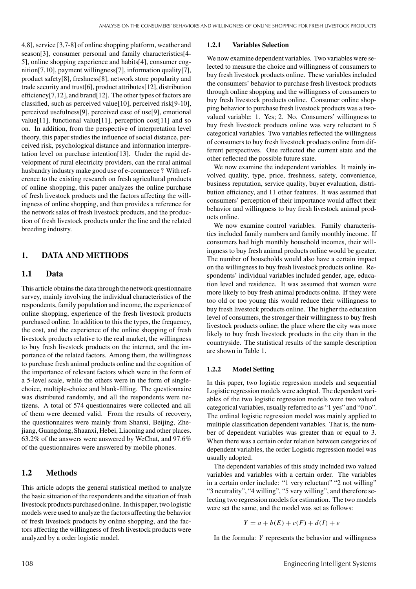4,8], service [3,7-8] of online shopping platform, weather and season[3], consumer personal and family characteristics[4- 5], online shopping experience and habits[4], consumer cognition[7,10], payment willingness[7], information quality[7], product safety[8], freshness[8], network store popularity and trade security and trust[6], product attributes[12], distribution efficiency[7,12], and brand[12]. The other types of factors are classified, such as perceived value[10], perceived risk[9-10], perceived usefulness[9], perceived ease of use[9], emotional value[11], functional value[11], perception cost[11] and so on. In addition, from the perspective of interpretation level theory, this paper studies the influence of social distance, perceived risk, psychological distance and information interpretation level on purchase intention[13]. Under the rapid development of rural electricity providers, can the rural animal husbandry industry make good use of e-commerce ? With reference to the existing research on fresh agricultural products of online shopping, this paper analyzes the online purchase of fresh livestock products and the factors affecting the willingness of online shopping, and then provides a reference for the network sales of fresh livestock products, and the production of fresh livestock products under the line and the related breeding industry.

#### **1. DATA AND METHODS**

#### **1.1 Data**

This article obtains the data through the network questionnaire survey, mainly involving the individual characteristics of the respondents, family population and income, the experience of online shopping, experience of the fresh livestock products purchased online. In addition to this the types, the frequency, the cost, and the experience of the online shopping of fresh livestock products relative to the real market, the willingness to buy fresh livestock products on the internet, and the importance of the related factors. Among them, the willingness to purchase fresh animal products online and the cognition of the importance of relevant factors which were in the form of a 5-level scale, while the others were in the form of singlechoice, multiple-choice and blank-filling. The questionnaire was distributed randomly, and all the respondents were netizens. A total of 574 questionnaires were collected and all of them were deemed valid. From the results of recovery, the questionnaires were mainly from Shanxi, Beijing, Zhejiang, Guangdong, Shaanxi, Hebei, Liaoning and other places. 63.2% of the answers were answered by WeChat, and 97.6% of the questionnaires were answered by mobile phones.

#### **1.2 Methods**

This article adopts the general statistical method to analyze the basic situation of the respondents and the situation of fresh livestock products purchased online. In this paper, two logistic models were used to analyze the factors affecting the behavior of fresh livestock products by online shopping, and the factors affecting the willingness of fresh livestock products were analyzed by a order logistic model.

#### **1.2.1 Variables Selection**

We now examine dependent variables. Two variables were selected to measure the choice and willingness of consumers to buy fresh livestock products online. These variables included the consumers' behavior to purchase fresh livestock products through online shopping and the willingness of consumers to buy fresh livestock products online. Consumer online shopping behavior to purchase fresh livestock products was a twovalued variable: 1. Yes; 2. No. Consumers' willingness to buy fresh livestock products online was very reluctant to 5 categorical variables. Two variables reflected the willingness of consumers to buy fresh livestock products online from different perspectives. One reflected the current state and the other reflected the possible future state.

We now examine the independent variables. It mainly involved quality, type, price, freshness, safety, convenience, business reputation, service quality, buyer evaluation, distribution efficiency, and 11 other features. It was assumed that consumers' perception of their importance would affect their behavior and willingness to buy fresh livestock animal products online.

We now examine control variables. Family characteristics included family numbers and family monthly income. If consumers had high monthly household incomes, their willingness to buy fresh animal products online would be greater. The number of households would also have a certain impact on the willingness to buy fresh livestock products online. Respondents' individual variables included gender, age, education level and residence. It was assumed that women were more likely to buy fresh animal products online. If they were too old or too young this would reduce their willingness to buy fresh livestock products online. The higher the education level of consumers, the stronger their willingness to buy fresh livestock products online; the place where the city was more likely to buy fresh livestock products in the city than in the countryside. The statistical results of the sample description are shown in Table 1.

#### **1.2.2 Model Setting**

In this paper, two logistic regression models and sequential Logistic regression models were adopted. The dependent variables of the two logistic regression models were two valued categorical variables, usually referred to as "1 yes" and "0 no". The ordinal logistic regression model was mainly applied to multiple classification dependent variables. That is, the number of dependent variables was greater than or equal to 3. When there was a certain order relation between categories of dependent variables, the order Logistic regression model was usually adopted.

The dependent variables of this study included two valued variables and variables with a certain order. The variables in a certain order include: "1 very reluctant" "2 not willing" "3 neutrality", "4 willing", "5 very willing", and therefore selecting two regression models for estimation. The two models were set the same, and the model was set as follows:

$$
Y = a + b(E) + c(F) + d(I) + e
$$

In the formula: *Y* represents the behavior and willingness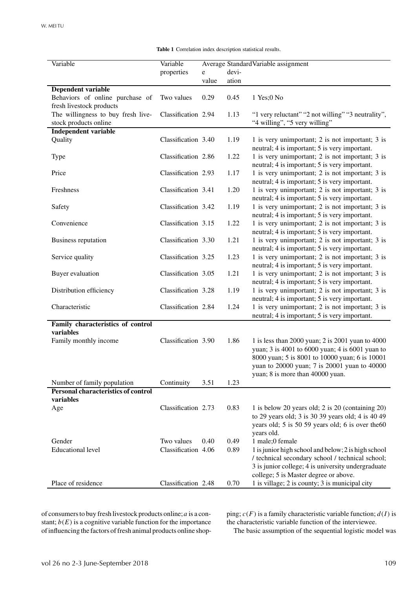| Variable                                   | Variable            |       |       | Average Standard Variable assignment                |
|--------------------------------------------|---------------------|-------|-------|-----------------------------------------------------|
|                                            | properties          | e     | devi- |                                                     |
|                                            |                     | value | ation |                                                     |
| <b>Dependent variable</b>                  |                     |       |       |                                                     |
| Behaviors of online purchase of            | Two values          | 0.29  | 0.45  | 1 Yes; 0 No                                         |
| fresh livestock products                   |                     |       |       |                                                     |
| The willingness to buy fresh live-         | Classification 2.94 |       | 1.13  | "1 very reluctant" "2 not willing" "3 neutrality",  |
| stock products online                      |                     |       |       | "4 willing", "5 very willing"                       |
| <b>Independent variable</b>                |                     |       |       |                                                     |
| Quality                                    | Classification 3.40 |       | 1.19  | 1 is very unimportant; 2 is not important; 3 is     |
|                                            |                     |       |       | neutral; 4 is important; 5 is very important.       |
| <b>Type</b>                                | Classification 2.86 |       | 1.22  | 1 is very unimportant; 2 is not important; 3 is     |
|                                            |                     |       |       | neutral; 4 is important; 5 is very important.       |
| Price                                      | Classification 2.93 |       | 1.17  | 1 is very unimportant; 2 is not important; 3 is     |
|                                            |                     |       |       | neutral; 4 is important; 5 is very important.       |
| Freshness                                  | Classification 3.41 |       | 1.20  | 1 is very unimportant; 2 is not important; 3 is     |
|                                            |                     |       |       |                                                     |
|                                            |                     |       |       | neutral; 4 is important; 5 is very important.       |
| Safety                                     | Classification 3.42 |       | 1.19  | 1 is very unimportant; 2 is not important; 3 is     |
|                                            |                     |       |       | neutral; 4 is important; 5 is very important.       |
| Convenience                                | Classification 3.15 |       | 1.22  | 1 is very unimportant; 2 is not important; 3 is     |
|                                            |                     |       |       | neutral; 4 is important; 5 is very important.       |
| Business reputation                        | Classification 3.30 |       | 1.21  | 1 is very unimportant; 2 is not important; 3 is     |
|                                            |                     |       |       | neutral; 4 is important; 5 is very important.       |
| Service quality                            | Classification 3.25 |       | 1.23  | 1 is very unimportant; 2 is not important; 3 is     |
|                                            |                     |       |       | neutral; 4 is important; 5 is very important.       |
| Buyer evaluation                           | Classification 3.05 |       | 1.21  | 1 is very unimportant; 2 is not important; 3 is     |
|                                            |                     |       |       | neutral; 4 is important; 5 is very important.       |
| Distribution efficiency                    | Classification 3.28 |       | 1.19  | 1 is very unimportant; 2 is not important; 3 is     |
|                                            |                     |       |       | neutral; 4 is important; 5 is very important.       |
| Characteristic                             | Classification 2.84 |       | 1.24  | 1 is very unimportant; 2 is not important; 3 is     |
|                                            |                     |       |       | neutral; 4 is important; 5 is very important.       |
| Family characteristics of control          |                     |       |       |                                                     |
| variables                                  |                     |       |       |                                                     |
| Family monthly income                      | Classification 3.90 |       | 1.86  | 1 is less than 2000 yuan; 2 is 2001 yuan to 4000    |
|                                            |                     |       |       | yuan; 3 is 4001 to 6000 yuan; 4 is 6001 yuan to     |
|                                            |                     |       |       | 8000 yuan; 5 is 8001 to 10000 yuan; 6 is 10001      |
|                                            |                     |       |       | yuan to 20000 yuan; 7 is 20001 yuan to 40000        |
|                                            |                     |       |       | yuan; 8 is more than 40000 yuan.                    |
| Number of family population                | Continuity          | 3.51  | 1.23  |                                                     |
| <b>Personal characteristics of control</b> |                     |       |       |                                                     |
| variables                                  |                     |       |       |                                                     |
|                                            | Classification 2.73 |       |       |                                                     |
| Age                                        |                     |       | 0.83  | 1 is below 20 years old; 2 is 20 (containing 20)    |
|                                            |                     |       |       | to 29 years old; 3 is 30 39 years old; 4 is 40 49   |
|                                            |                     |       |       | years old; 5 is 50 59 years old; 6 is over the 60   |
|                                            |                     |       |       | years old.                                          |
| Gender                                     | Two values          | 0.40  | 0.49  | 1 male;0 female                                     |
| <b>Educational level</b>                   | Classification 4.06 |       | 0.89  | 1 is junior high school and below; 2 is high school |
|                                            |                     |       |       | / technical secondary school / technical school;    |
|                                            |                     |       |       | 3 is junior college; 4 is university undergraduate  |
|                                            |                     |       |       | college; 5 is Master degree or above.               |
| Place of residence                         | Classification 2.48 |       | 0.70  | 1 is village; 2 is county; 3 is municipal city      |

**Table 1** Correlation index description statistical results.

of consumers to buy fresh livestock products online;*a* is a constant;  $b(E)$  is a cognitive variable function for the importance of influencing the factors of fresh animal products online shopping;  $c(F)$  is a family characteristic variable function;  $d(I)$  is the characteristic variable function of the interviewee.

The basic assumption of the sequential logistic model was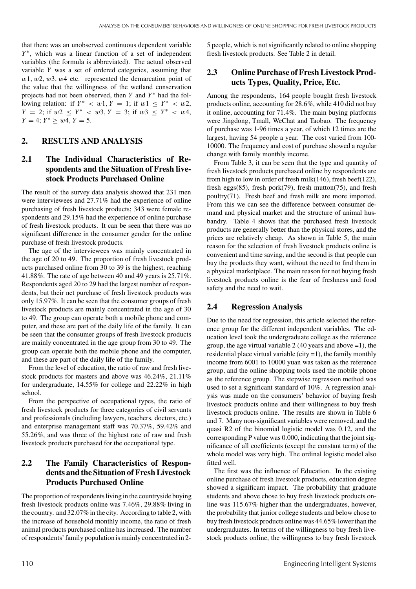that there was an unobserved continuous dependent variable *Y*<sup>\*</sup>, which was a linear function of a set of independent variables (the formula is abbreviated). The actual observed variable *Y* was a set of ordered categories, assuming that *w*1*, w*2*, w*3*, w*4 etc. represented the demarcation point of the value that the willingness of the wetland conservation projects had not been observed, then *Y* and *Y*<sup>\*</sup> had the following relation: if  $Y^* < w1$ ,  $Y = 1$ ; if  $w1 \leq Y^* < w2$ , *Y* = 2; if  $w2 \leq Y^* \leq w3$ ,  $Y = 3$ ; if  $w3 \leq Y^* \leq w4$ ,  $Y = 4$ ;  $Y^* > w4$ ,  $Y = 5$ .

#### **2. RESULTS AND ANALYSIS**

## **2.1 The Individual Characteristics of Respondents and the Situation of Fresh livestock Products Purchased Online**

The result of the survey data analysis showed that 231 men were interviewees and 27.71% had the experience of online purchasing of fresh livestock products; 343 were female respondents and 29.15% had the experience of online purchase of fresh livestock products. It can be seen that there was no significant difference in the consumer gender for the online purchase of fresh livestock products.

The age of the interviewees was mainly concentrated in the age of 20 to 49. The proportion of fresh livestock products purchased online from 30 to 39 is the highest, reaching 41.88%. The rate of age between 40 and 49 years is 25.71%. Respondents aged 20 to 29 had the largest number of respondents, but their net purchase of fresh livestock products was only 15.97%. It can be seen that the consumer groups of fresh livestock products are mainly concentrated in the age of 30 to 49. The group can operate both a mobile phone and computer, and these are part of the daily life of the family. It can be seen that the consumer groups of fresh livestock products are mainly concentrated in the age group from 30 to 49. The group can operate both the mobile phone and the computer, and these are part of the daily life of the family.

From the level of education, the ratio of raw and fresh livestock products for masters and above was 46.24%, 21.11% for undergraduate, 14.55% for college and 22.22% in high school.

From the perspective of occupational types, the ratio of fresh livestock products for three categories of civil servants and professionals (including lawyers, teachers, doctors, etc.) and enterprise management staff was 70.37%, 59.42% and 55.26%, and was three of the highest rate of raw and fresh livestock products purchased for the occupational type.

# **2.2 The Family Characteristics of Respondents and the Situation of Fresh Livestock Products Purchased Online**

The proportion of respondents living in the countryside buying fresh livestock products online was 7.46%, 29.88% living in the country. and 32.07% in the city. According to table 2, with the increase of household monthly income, the ratio of fresh animal products purchased online has increased. The number of respondents' family populationis mainly concentrated in 25 people, which is not significantly related to online shopping fresh livestock products. See Table 2 in detail.

## **2.3 Online Purchase of Fresh Livestock Products Types, Quality, Price, Etc.**

Among the respondents, 164 people bought fresh livestock products online, accounting for 28.6%, while 410 did not buy it online, accounting for 71.4%. The main buying platforms were Jingdong, Tmall, WeChat and Taobao. The frequency of purchase was 1-96 times a year, of which 12 times are the largest, having 54 people a year. The cost varied from 100- 10000. The frequency and cost of purchase showed a regular change with family monthly income.

From Table 3, it can be seen that the type and quantity of fresh livestock products purchased online by respondents are from high to low in order of fresh milk(146), fresh beef(122), fresh eggs(85), fresh pork(79), fresh mutton(75), and fresh poultry(71). Fresh beef and fresh milk are more imported. From this we can see the difference between consumer demand and physical market and the structure of animal husbandry. Table 4 shows that the purchased fresh livestock products are generally better than the physical stores, and the prices are relatively cheap. As shown in Table 5, the main reason for the selection of fresh livestock products online is convenient and time saving, and the second is that people can buy the products they want, without the need to find them in a physical marketplace. The main reason for not buying fresh livestock products online is the fear of freshness and food safety and the need to wait.

#### **2.4 Regression Analysis**

Due to the need for regression, this article selected the reference group for the different independent variables. The education level took the undergraduate college as the reference group, the age virtual variable 2 (40 years and above  $=1$ ), the residential place virtual variable (city =1), the family monthly income from 6001 to 10000 yuan was taken as the reference group, and the online shopping tools used the mobile phone as the reference group. The stepwise regression method was used to set a significant standard of 10%. A regression analysis was made on the consumers' behavior of buying fresh livestock products online and their willingness to buy fresh livestock products online. The results are shown in Table 6 and 7. Many non-significant variables were removed, and the quasi R2 of the binomial logistic model was 0.12, and the corresponding P value was 0.000, indicating that the joint significance of all coefficients (except the constant term) of the whole model was very high. The ordinal logistic model also fitted well.

The first was the influence of Education. In the existing online purchase of fresh livestock products, education degree showed a significant impact. The probability that graduate students and above chose to buy fresh livestock products online was 115.67% higher than the undergraduates, however, the probability that junior college students and below chose to buy fresh livestock products online was 44.65% lower than the undergraduates. In terms of the willingness to buy fresh livestock products online, the willingness to buy fresh livestock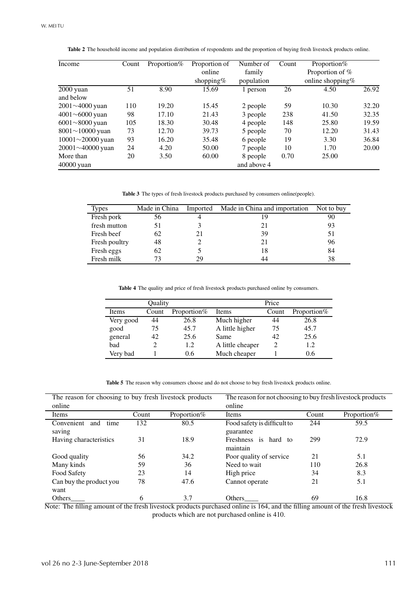| Income                  | Count | Proportion% | Proportion of | Number of  | Count | Proportion%         |       |
|-------------------------|-------|-------------|---------------|------------|-------|---------------------|-------|
|                         |       |             | online        | family     |       | Proportion of %     |       |
|                         |       |             | shopping%     | population |       | online shopping $%$ |       |
| $\overline{2000}$ yuan  | 51    | 8.90        | 15.69         | 1 person   | 26    | 4.50                | 26.92 |
| and below               |       |             |               |            |       |                     |       |
| $2001 \sim 4000$ yuan   | 110   | 19.20       | 15.45         | 2 people   | 59    | 10.30               | 32.20 |
| $4001 \sim 6000$ yuan   | 98    | 17.10       | 21.43         | 3 people   | 238   | 41.50               | 32.35 |
| $6001 \sim 8000$ yuan   | 105   | 18.30       | 30.48         | 4 people   | 148   | 25.80               | 19.59 |
| $8001 \sim 10000$ yuan  | 73    | 12.70       | 39.73         | 5 people   | 70    | 12.20               | 31.43 |
| 10001 $\sim$ 20000 yuan | 93    | 16.20       | 35.48         | 6 people   | 19    | 3.30                | 36.84 |
| 20001~40000 yuan        | 24    | 4.20        | 50.00         | 7 people   | 10    | 1.70                | 20.00 |
| More than               | 20    | 3.50        | 60.00         | 8 people   | 0.70  | 25.00               |       |
| $40000$ yuan            |       |             | and above 4   |            |       |                     |       |

**Table 2** The household income and population distribution of respondents and the proportion of buying fresh livestock products online.

**Table 3** The types of fresh livestock products purchased by consumers online(people).

| <b>Types</b>  | Made in China | Imported | Made in China and importation | Not to buy |
|---------------|---------------|----------|-------------------------------|------------|
| Fresh pork    | 56            |          |                               | 90         |
| fresh mutton  | 51            |          | 21                            | 93         |
| Fresh beef    | 62            |          | 39                            | 51         |
| Fresh poultry | 48            |          | 21                            | 96         |
| Fresh eggs    | 62            |          | 18                            | 84         |
| Fresh milk    | 73            | 29       | 44                            | 38         |

**Table 4** The quality and price of fresh livestock products purchased online by consumers.

|           | Quality |             |                  | Price |             |
|-----------|---------|-------------|------------------|-------|-------------|
| Items     | Count   | Proportion% | Items            | Count | Proportion% |
| Very good | 44      | 26.8        | Much higher      | 44    | 26.8        |
| good      | 75      | 45.7        | A little higher  | 75    | 45.7        |
| general   | 42      | 25.6        | Same             | 42    | 25.6        |
| bad       |         | 1.2         | A little cheaper | 2     | 1.2         |
| Very bad  |         | 0.6         | Much cheaper     |       | 0.6         |

Table 5 The reason why consumers choose and do not choose to buy fresh livestock products online.

| The reason for choosing to buy fresh livestock products |       | The reason for not choosing to buy fresh livestock products |                                          |       |             |
|---------------------------------------------------------|-------|-------------------------------------------------------------|------------------------------------------|-------|-------------|
| online                                                  |       |                                                             | online                                   |       |             |
| Items                                                   | Count | Proportion%                                                 | Items                                    | Count | Proportion% |
| Convenient<br>and<br>time<br>saving                     | 132   | 80.5                                                        | Food safety is difficult to<br>guarantee | 244   | 59.5        |
| Having characteristics                                  | 31    | 18.9                                                        | Freshness is hard to<br>maintain         | 299   | 72.9        |
| Good quality                                            | 56    | 34.2                                                        | Poor quality of service                  | 21    | 5.1         |
| Many kinds                                              | 59    | 36                                                          | Need to wait                             | 110   | 26.8        |
| Food Safety                                             | 23    | 14                                                          | High price                               | 34    | 8.3         |
| Can buy the product you<br>want                         | 78    | 47.6                                                        | Cannot operate                           | 21    | 5.1         |
| <b>Others</b>                                           | 6     | 3.7                                                         | Others                                   | 69    | 16.8        |

Note: The filling amount of the fresh livestock products purchased online is 164, and the filling amount of the fresh livestock products which are not purchased online is 410.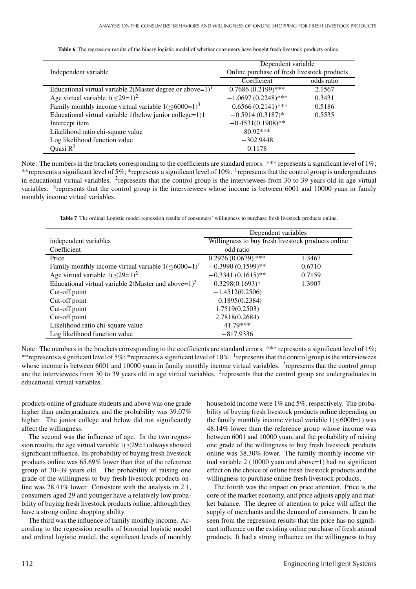**Table 6** The regression results of the binary logistic model of whether consumers have bought fresh livestock products online.

|                                                                           | Dependent variable                          |            |  |  |
|---------------------------------------------------------------------------|---------------------------------------------|------------|--|--|
| Independent variable                                                      | Online purchase of fresh livestock products |            |  |  |
|                                                                           | Coefficient                                 | odds ratio |  |  |
| Educational virtual variable 2(Master degree or above= $1$ ) <sup>1</sup> | $0.7686(0.2199)$ ***                        | 2.1567     |  |  |
| Age virtual variable $1( \leq 29=1)^2$                                    | $-1.0697(0.2248)$ ***                       | 0.3431     |  |  |
| Family monthly income virtual variable $1( \leq 6000=1)^3$                | $-0.6566(0.2141)$ ***                       | 0.5186     |  |  |
| Educational virtual variable 1(below junior college=1)1                   | $-0.5914(0.3187)$ *                         | 0.5535     |  |  |
| Intercept item                                                            | $-0.4531(0.1908)$ **                        |            |  |  |
| Likelihood ratio chi-square value                                         | $80.92***$                                  |            |  |  |
| Log likelihood function value                                             | $-302.9448$                                 |            |  |  |
| Ouasi $R^2$                                                               | 0.1178                                      |            |  |  |

Note: The numbers in the brackets corresponding to the coefficients are standard errors. \*\*\* represents a significant level of 1%; \*\*represents a significant level of 5%; \*represents a significant level of 10%. <sup>1</sup>represents that the control group is undergraduates in educational virtual variables. 2represents that the control group is the interviewees from 30 to 39 years old in age virtual variables. <sup>3</sup>represents that the control group is the interviewees whose income is between 6001 and 10000 yuan in family monthly income virtual variables.

**Table 7** The ordinal Logistic model regression results of consumers' willingness to purchase fresh livestock products online.

|                                                            | Dependent variables                                |        |  |
|------------------------------------------------------------|----------------------------------------------------|--------|--|
| independent variables                                      | Willingness to buy fresh livestock products online |        |  |
| Coefficient                                                | odd ratio                                          |        |  |
| Price                                                      | $0.2976(0.0679)$ ***                               | 1.3467 |  |
| Family monthly income virtual variable $1( \leq 6000=1)^1$ | $-0.3990(0.1599)$ **                               | 0.6710 |  |
| Age virtual variable $1( \leq 29=1)^2$                     | $-0.3341(0.1615)$ **                               | 0.7159 |  |
| Educational virtual variable 2(Master and above= $1)^3$    | $0.3298(0.1693)*$                                  | 1.3907 |  |
| Cut-off point                                              | $-1.4512(0.2506)$                                  |        |  |
| Cut-off point                                              | $-0.1895(0.2384)$                                  |        |  |
| Cut-off point                                              | 1.7519(0.2503)                                     |        |  |
| Cut-off point                                              | 2.7818(0.2684)                                     |        |  |
| Likelihood ratio chi-square value                          | 41.79***                                           |        |  |
| Log likelihood function value                              | $-817.9336$                                        |        |  |

Note: The numbers in the brackets corresponding to the coefficients are standard errors. \*\*\* represents a significant level of 1%; \*\*represents a significant level of 5%; \*represents a significant level of 10%. <sup>1</sup> represents that the control group is the interviewees whose income is between 6001 and 10000 yuan in family monthly income virtual variables. <sup>2</sup>represents that the control group are the interviewees from 30 to 39 years old in age virtual variables.  $3$ represents that the control group are undergraduates in educational virtual variables.

products online of graduate students and above was one grade higher than undergraduates, and the probability was 39.07% higher. The junior college and below did not significantly affect the willingness.

The second was the influence of age. In the two regression results, the age virtual variable  $1( \leq 29=1)$  always showed significant influence. Its probability of buying fresh livestock products online was 65.69% lower than that of the reference group of 30–39 years old. The probability of raising one grade of the willingness to buy fresh livestock products online was 28.41% lower. Consistent with the analysis in 2.1, consumers aged 29 and younger have a relatively low probability of buying fresh livestock products online, although they have a strong online shopping ability.

The third was the influence of family monthly income. According to the regression results of binomial logistic model and ordinal logistic model, the significant levels of monthly

household income were 1% and 5%, respectively. The probability of buying fresh livestock products online depending on the family monthly income virtual variable  $1$ ( $\leq 6000=1$ ) was 48.14% lower than the reference group whose income was between 6001 and 10000 yuan, and the probability of raising one grade of the willingness to buy fresh livestock products online was 38.30% lower. The family monthly income virtual variable 2 (10000 yuan and above=1) had no significant effect on the choice of online fresh livestock products and the willingness to purchase online fresh livestock products.

The fourth was the impact on price attention. Price is the core of the market economy, and price adjusts apply and market balance. The degree of attention to price will affect the supply of merchants and the demand of consumers. It can be seen from the regression results that the price has no significant influence on the existing online purchase of fresh animal products. It had a strong influence on the willingness to buy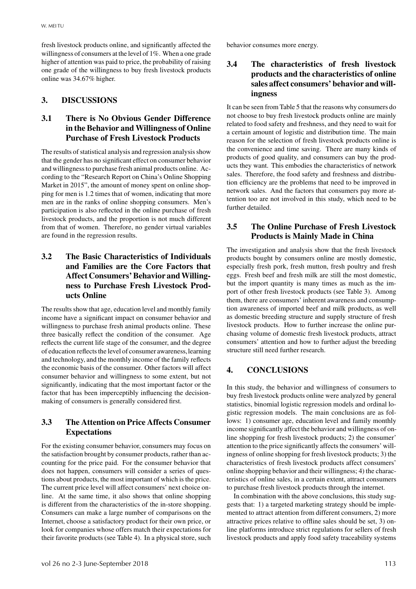fresh livestock products online, and significantly affected the willingness of consumers at the level of 1%. When a one grade higher of attention was paid to price, the probability of raising one grade of the willingness to buy fresh livestock products online was 34.67% higher.

# **3. DISCUSSIONS**

# **3.1 There is No Obvious Gender Difference in the Behavior and Willingness of Online Purchase of Fresh Livestock Products**

The results of statistical analysis and regression analysis show that the gender has no significant effect on consumer behavior and willingness to purchase fresh animal products online. According to the "Research Report on China's Online Shopping Market in 2015", the amount of money spent on online shopping for men is 1.2 times that of women, indicating that more men are in the ranks of online shopping consumers. Men's participation is also reflected in the online purchase of fresh livestock products, and the proportion is not much different from that of women. Therefore, no gender virtual variables are found in the regression results.

# **3.2 The Basic Characteristics of Individuals and Families are the Core Factors that** Affect Consumers' Behavior and Willing**ness to Purchase Fresh Livestock Products Online**

The results show that age, education level and monthly family income have a significant impact on consumer behavior and willingness to purchase fresh animal products online. These three basically reflect the condition of the consumer. Age reflects the current life stage of the consumer, and the degree of education reflects the level of consumer awareness,learning and technology, and the monthly income of the family reflects the economic basis of the consumer. Other factors will affect consumer behavior and willingness to some extent, but not significantly, indicating that the most important factor or the factor that has been imperceptibly influencing the decisionmaking of consumers is generally considered first.

# **3.3 The Attention on Price Affects Consumer Expectations**

For the existing consumer behavior, consumers may focus on the satisfaction brought by consumer products, rather than accounting for the price paid. For the consumer behavior that does not happen, consumers will consider a series of questions about products, the most important of which is the price. The current price level will affect consumers' next choice online. At the same time, it also shows that online shopping is different from the characteristics of the in-store shopping. Consumers can make a large number of comparisons on the Internet, choose a satisfactory product for their own price, or look for companies whose offers match their expectations for their favorite products (see Table 4). In a physical store, such

behavior consumes more energy.

# **3.4 The characteristics of fresh livestock products and the characteristics of online sales affect consumers' behavior and willingness**

It can be seen from Table 5 that the reasons why consumers do not choose to buy fresh livestock products online are mainly related to food safety and freshness, and they need to wait for a certain amount of logistic and distribution time. The main reason for the selection of fresh livestock products online is the convenience and time saving. There are many kinds of products of good quality, and consumers can buy the products they want. This embodies the characteristics of network sales. Therefore, the food safety and freshness and distribution efficiency are the problems that need to be improved in network sales. And the factors that consumers pay more attention too are not involved in this study, which need to be further detailed.

# **3.5 The Online Purchase of Fresh Livestock Products is Mainly Made in China**

The investigation and analysis show that the fresh livestock products bought by consumers online are mostly domestic, especially fresh pork, fresh mutton, fresh poultry and fresh eggs. Fresh beef and fresh milk are still the most domestic, but the import quantity is many times as much as the import of other fresh livestock products (see Table 3). Among them, there are consumers' inherent awareness and consumption awareness of imported beef and milk products, as well as domestic breeding structure and supply structure of fresh livestock products. How to further increase the online purchasing volume of domestic fresh livestock products, attract consumers' attention and how to further adjust the breeding structure still need further research.

## **4. CONCLUSIONS**

In this study, the behavior and willingness of consumers to buy fresh livestock products online were analyzed by general statistics, binomial logistic regression models and ordinal logistic regression models. The main conclusions are as follows: 1) consumer age, education level and family monthly income significantly affect the behavior and willingness of online shopping for fresh livestock products; 2) the consumer' attention to the price significantly affects the consumers' willingness of online shopping for fresh livestock products; 3) the characteristics of fresh livestock products affect consumers' online shopping behavior and their willingness; 4) the characteristics of online sales, in a certain extent, attract consumers to purchase fresh livestock products through the internet.

In combination with the above conclusions, this study suggests that: 1) a targeted marketing strategy should be implemented to attract attention from different consumers, 2) more attractive prices relative to offline sales should be set, 3) online platforms introduce strict regulations for sellers of fresh livestock products and apply food safety traceability systems